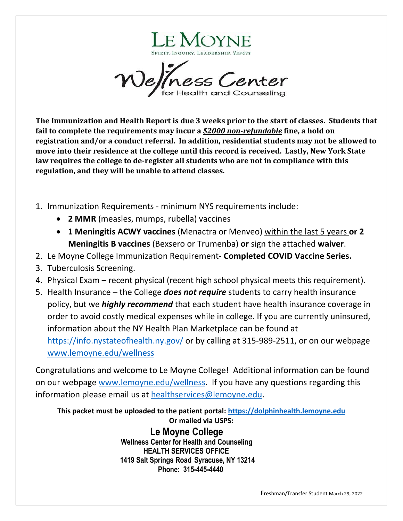

**The Immunization and Health Report is due 3 weeks prior to the start of classes. Students that fail to complete the requirements may incur a** *\$2000 non-refundable* **fine, a hold on registration and/or a conduct referral. In addition, residential students may not be allowed to move into their residence at the college until this record is received. Lastly, New York State law requires the college to de-register all students who are not in compliance with this regulation, and they will be unable to attend classes.** 

- 1. Immunization Requirements minimum NYS requirements include:
	- **2 MMR** (measles, mumps, rubella) vaccines
	- **1 Meningitis ACWY vaccines** (Menactra or Menveo) within the last 5 years **or 2 Meningitis B vaccines** (Bexsero or Trumenba) **or** sign the attached **waiver**.
- 2. Le Moyne College Immunization Requirement- **Completed COVID Vaccine Series.**
- 3. Tuberculosis Screening.
- 4. Physical Exam recent physical (recent high school physical meets this requirement).
- 5. Health Insurance the College *does not require* students to carry health insurance policy, but we *highly recommend* that each student have health insurance coverage in order to avoid costly medical expenses while in college. If you are currently uninsured, information about the NY Health Plan Marketplace can be found at <https://info.nystateofhealth.ny.gov/> or by calling at 315-989-2511, or on our webpage [www.lemoyne.edu/wellness](http://www.lemoyne.edu/wellness)

Congratulations and welcome to Le Moyne College! Additional information can be found on our webpage [www.lemoyne.edu/wellness.](http://www.lemoyne.edu/wellness) If you have any questions regarding this information please email us at [healthservices@lemoyne.edu.](mailto:healthservices@lemoyne.edu)

**This packet must be uploaded to the patient portal: [https://dolphinhealth.lemoyne.edu](https://dolphinhealth.lemoyne.edu/)**

**Or mailed via USPS: Le Moyne College Wellness Center for Health and Counseling HEALTH SERVICES OFFICE 1419 Salt Springs Road Syracuse, NY 13214 Phone: 315-445-4440**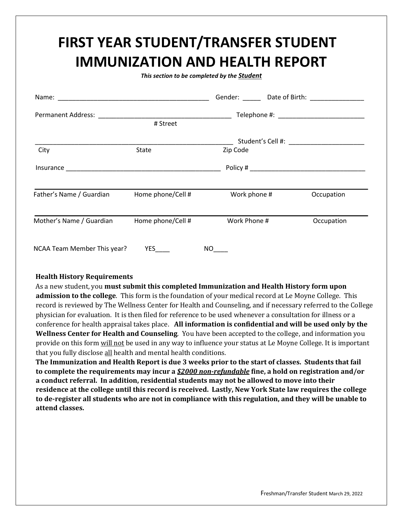# **FIRST YEAR STUDENT/TRANSFER STUDENT IMMUNIZATION AND HEALTH REPORT**

*This section to be completed by the Student*

|                             |                   | Gender: Date of Birth: Cambridge Contact Contact Contact Contact Contact Contact Contact Contact Contact Conta |                                           |
|-----------------------------|-------------------|----------------------------------------------------------------------------------------------------------------|-------------------------------------------|
|                             | # Street          |                                                                                                                | Telephone #: ____________________________ |
|                             |                   |                                                                                                                |                                           |
| City                        | <b>State</b>      | Zip Code                                                                                                       |                                           |
|                             |                   |                                                                                                                |                                           |
| Father's Name / Guardian    | Home phone/Cell # | Work phone #                                                                                                   | Occupation                                |
| Mother's Name / Guardian    | Home phone/Cell # | Work Phone #                                                                                                   | Occupation                                |
| NCAA Team Member This year? | <b>YES</b>        | NO.                                                                                                            |                                           |

#### **Health History Requirements**

As a new student, you **must submit this completed Immunization and Health History form upon admission to the college**. This form is the foundation of your medical record at Le Moyne College. This record is reviewed by The Wellness Center for Health and Counseling, and if necessary referred to the College physician for evaluation. It is then filed for reference to be used whenever a consultation for illness or a conference for health appraisal takes place. **All information is confidential and will be used only by the Wellness Center for Health and Counseling**. You have been accepted to the college, and information you provide on this form will not be used in any way to influence your status at Le Moyne College. It is important that you fully disclose all health and mental health conditions.

**The Immunization and Health Report is due 3 weeks prior to the start of classes. Students that fail to complete the requirements may incur a** *\$2000 non-refundable* **fine, a hold on registration and/or a conduct referral. In addition, residential students may not be allowed to move into their residence at the college until this record is received. Lastly, New York State law requires the college to de-register all students who are not in compliance with this regulation, and they will be unable to attend classes.**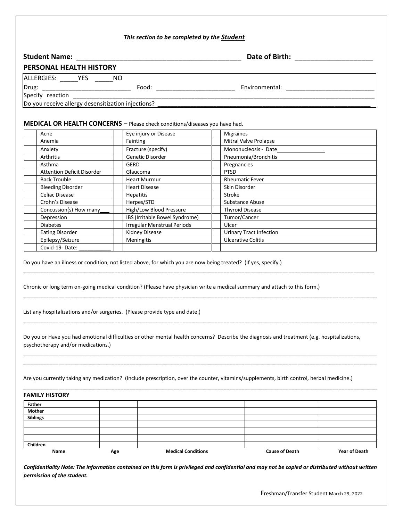| Date of Birth: _____________<br><b>Student Name:</b> Student Name:  |                                                                                                                                             |                                |               |  |  |  |
|---------------------------------------------------------------------|---------------------------------------------------------------------------------------------------------------------------------------------|--------------------------------|---------------|--|--|--|
| PERSONAL HEALTH HISTORY                                             |                                                                                                                                             |                                |               |  |  |  |
|                                                                     |                                                                                                                                             |                                |               |  |  |  |
| ALLERGIES: ________ YES _______ NO                                  |                                                                                                                                             |                                |               |  |  |  |
|                                                                     |                                                                                                                                             |                                |               |  |  |  |
|                                                                     | Do you receive allergy desensitization injections? _____________________________                                                            |                                |               |  |  |  |
|                                                                     |                                                                                                                                             |                                |               |  |  |  |
|                                                                     | MEDICAL OR HEALTH CONCERNS - Please check conditions/diseases you have had.                                                                 |                                |               |  |  |  |
| Acne                                                                | Eye injury or Disease                                                                                                                       | <b>Migraines</b>               |               |  |  |  |
| Anemia                                                              | Fainting                                                                                                                                    | Mitral Valve Prolapse          |               |  |  |  |
| Anxiety                                                             | Fracture (specify)                                                                                                                          | Mononucleosis - Date           |               |  |  |  |
| Arthritis                                                           | Genetic Disorder                                                                                                                            | Pneumonia/Bronchitis           |               |  |  |  |
| Asthma                                                              | GERD                                                                                                                                        | Pregnancies                    |               |  |  |  |
| <b>Attention Deficit Disorder</b>                                   | Glaucoma                                                                                                                                    | <b>PTSD</b>                    |               |  |  |  |
| <b>Back Trouble</b>                                                 | <b>Heart Murmur</b>                                                                                                                         | <b>Rheumatic Fever</b>         |               |  |  |  |
| <b>Bleeding Disorder</b>                                            | <b>Heart Disease</b>                                                                                                                        | Skin Disorder                  |               |  |  |  |
| Celiac Disease                                                      | <b>Hepatitis</b>                                                                                                                            | Stroke                         |               |  |  |  |
| Crohn's Disease                                                     | Herpes/STD                                                                                                                                  | Substance Abuse                |               |  |  |  |
| Concussion(s) How many                                              | High/Low Blood Pressure                                                                                                                     | <b>Thyroid Disease</b>         |               |  |  |  |
| Depression                                                          | IBS (Irritable Bowel Syndrome)                                                                                                              | Tumor/Cancer                   |               |  |  |  |
| <b>Diabetes</b>                                                     | <b>Irregular Menstrual Periods</b>                                                                                                          | Ulcer                          |               |  |  |  |
| <b>Eating Disorder</b>                                              | Kidney Disease                                                                                                                              | <b>Urinary Tract Infection</b> |               |  |  |  |
| Epilepsy/Seizure                                                    | Meningitis                                                                                                                                  | <b>Ulcerative Colitis</b>      |               |  |  |  |
| Covid-19-Date:                                                      |                                                                                                                                             |                                |               |  |  |  |
|                                                                     | Do you have an illness or condition, not listed above, for which you are now being treated? (If yes, specify.)                              |                                |               |  |  |  |
|                                                                     | Chronic or long term on-going medical condition? (Please have physician write a medical summary and attach to this form.)                   |                                |               |  |  |  |
|                                                                     |                                                                                                                                             |                                |               |  |  |  |
|                                                                     | List any hospitalizations and/or surgeries. (Please provide type and date.)                                                                 |                                |               |  |  |  |
|                                                                     |                                                                                                                                             |                                |               |  |  |  |
|                                                                     | Do you or Have you had emotional difficulties or other mental health concerns? Describe the diagnosis and treatment (e.g. hospitalizations, |                                |               |  |  |  |
|                                                                     |                                                                                                                                             |                                |               |  |  |  |
|                                                                     |                                                                                                                                             |                                |               |  |  |  |
| psychotherapy and/or medications.)                                  |                                                                                                                                             |                                |               |  |  |  |
|                                                                     |                                                                                                                                             |                                |               |  |  |  |
|                                                                     | Are you currently taking any medication? (Include prescription, over the counter, vitamins/supplements, birth control, herbal medicine.)    |                                |               |  |  |  |
|                                                                     |                                                                                                                                             |                                |               |  |  |  |
|                                                                     |                                                                                                                                             |                                |               |  |  |  |
|                                                                     |                                                                                                                                             |                                |               |  |  |  |
|                                                                     |                                                                                                                                             |                                |               |  |  |  |
| <b>FAMILY HISTORY</b><br>Father<br><b>Mother</b><br><b>Siblings</b> |                                                                                                                                             |                                |               |  |  |  |
|                                                                     |                                                                                                                                             |                                |               |  |  |  |
|                                                                     |                                                                                                                                             |                                |               |  |  |  |
| Children<br>Name                                                    | <b>Medical Conditions</b><br>Age                                                                                                            | <b>Cause of Death</b>          | Year of Death |  |  |  |

Freshman/Transfer Student March 29, 2022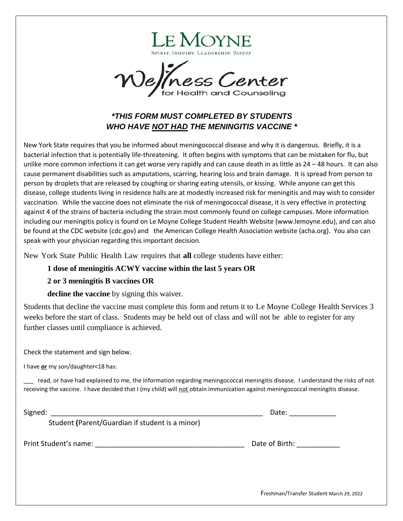

## *\*THIS FORM MUST COMPLETED BY STUDENTS WHO HAVE NOT HAD THE MENINGITIS VACCINE \**

New York State requires that you be informed about meningococcal disease and why it is dangerous. Briefly, it is a bacterial infection that is potentially life-threatening. It often begins with symptoms that can be mistaken for flu, but unlike more common infections it can get worse very rapidly and can cause death in as little as  $24 - 48$  hours. It can also cause permanent disabilities such as amputations, scarring, hearing loss and brain damage. It is spread from person to person by droplets that are released by coughing or sharing eating utensils, or kissing. While anyone can get this disease, college students living in residence halls are at modestly increased risk for meningitis and may wish to consider vaccination. While the vaccine does not eliminate the risk of meningococcal disease, it is very effective in protecting against 4 of the strains of bacteria including the strain most commonly found on college campuses. More information including our meningitis policy is found on Le Moyne College Student Health Website (www.lemoyne.edu), and can also be found at the CDC website (cdc.gov) and the American College Health Association website (acha.org). You also can speak with your physician regarding this important decision.

New York State Public Health Law requires that **all** college students have either:

#### **1 dose of meningitis ACWY vaccine within the last 5 years OR**

#### **2 or 3 meningitis B vaccines OR**

**decline the vaccine** by signing this waiver.

Students that decline the vaccine must complete this form and return it to Le Moyne College Health Services 3 weeks before the start of class. Students may be held out of class and will not be able to register for any further classes until compliance is achieved.

#### Check the statement and sign below.

I have **or** my son/daughter<18 has:

\_\_\_ read, or have had explained to me, the information regarding meningococcal meningitis disease. I understand the risks of not receiving the vaccine. I have decided that I (my child) will not obtain immunization against meningococcal meningitis disease.

| Signed:                                         | Date:          |
|-------------------------------------------------|----------------|
| Student (Parent/Guardian if student is a minor) |                |
| Print Student's name:                           | Date of Birth: |
|                                                 |                |

Freshman/Transfer Student March 29, 2022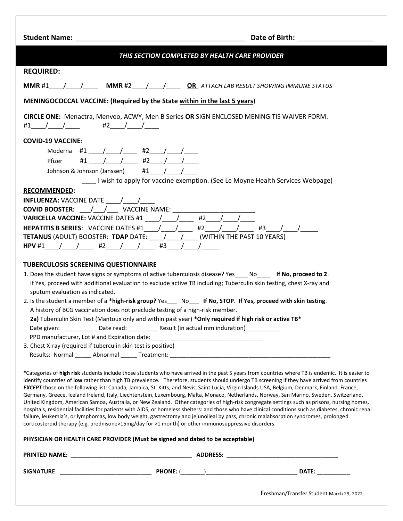| <b>Student Name:</b><br>Date of Birth: The Contract of Birth:                                                                                                                                                                                                                                                                                                                                                                                                                                                                                                                                                                                                                                                                                                                                                                                                                                                                                                                                                                                                                                                                                             |
|-----------------------------------------------------------------------------------------------------------------------------------------------------------------------------------------------------------------------------------------------------------------------------------------------------------------------------------------------------------------------------------------------------------------------------------------------------------------------------------------------------------------------------------------------------------------------------------------------------------------------------------------------------------------------------------------------------------------------------------------------------------------------------------------------------------------------------------------------------------------------------------------------------------------------------------------------------------------------------------------------------------------------------------------------------------------------------------------------------------------------------------------------------------|
| THIS SECTION COMPLETED BY HEALTH CARE PROVIDER                                                                                                                                                                                                                                                                                                                                                                                                                                                                                                                                                                                                                                                                                                                                                                                                                                                                                                                                                                                                                                                                                                            |
| <b>REQUIRED:</b>                                                                                                                                                                                                                                                                                                                                                                                                                                                                                                                                                                                                                                                                                                                                                                                                                                                                                                                                                                                                                                                                                                                                          |
| <b>MMR</b> #1 $\left/ \right/ \right/$ <b>MMR</b> #2 $\left/ \right/ \right/$ <b>OR</b> ATTACH LAB RESULT SHOWING IMMUNE STATUS                                                                                                                                                                                                                                                                                                                                                                                                                                                                                                                                                                                                                                                                                                                                                                                                                                                                                                                                                                                                                           |
| MENINGOCOCCAL VACCINE: (Required by the State within in the last 5 years)                                                                                                                                                                                                                                                                                                                                                                                                                                                                                                                                                                                                                                                                                                                                                                                                                                                                                                                                                                                                                                                                                 |
| CIRCLE ONE: Menactra, Menveo, ACWY, Men B Series OR SIGN ENCLOSED MENINGITIS WAIVER FORM.<br>#1 $/$ $/$                                                                                                                                                                                                                                                                                                                                                                                                                                                                                                                                                                                                                                                                                                                                                                                                                                                                                                                                                                                                                                                   |
| <b>COVID-19 VACCINE:</b>                                                                                                                                                                                                                                                                                                                                                                                                                                                                                                                                                                                                                                                                                                                                                                                                                                                                                                                                                                                                                                                                                                                                  |
| Moderna #1 $/$ $/$ #2 $/$                                                                                                                                                                                                                                                                                                                                                                                                                                                                                                                                                                                                                                                                                                                                                                                                                                                                                                                                                                                                                                                                                                                                 |
| Pfizer                                                                                                                                                                                                                                                                                                                                                                                                                                                                                                                                                                                                                                                                                                                                                                                                                                                                                                                                                                                                                                                                                                                                                    |
| Johnson & Johnson (Janssen)<br>$#1$ / /                                                                                                                                                                                                                                                                                                                                                                                                                                                                                                                                                                                                                                                                                                                                                                                                                                                                                                                                                                                                                                                                                                                   |
| I wish to apply for vaccine exemption. (See Le Moyne Health Services Webpage)                                                                                                                                                                                                                                                                                                                                                                                                                                                                                                                                                                                                                                                                                                                                                                                                                                                                                                                                                                                                                                                                             |
| <b>RECOMMENDED:</b>                                                                                                                                                                                                                                                                                                                                                                                                                                                                                                                                                                                                                                                                                                                                                                                                                                                                                                                                                                                                                                                                                                                                       |
| INFLUENZA: VACCINE DATE $\frac{1}{\sqrt{1-\frac{1}{2}}}$                                                                                                                                                                                                                                                                                                                                                                                                                                                                                                                                                                                                                                                                                                                                                                                                                                                                                                                                                                                                                                                                                                  |
| <b>COVID BOOSTER:</b> $\frac{1}{2}$ / $\frac{1}{2}$ VACCINE NAME:                                                                                                                                                                                                                                                                                                                                                                                                                                                                                                                                                                                                                                                                                                                                                                                                                                                                                                                                                                                                                                                                                         |
| VARICELLA VACCINE: VACCINE DATES #1 ___/___/_____/ #2 / /                                                                                                                                                                                                                                                                                                                                                                                                                                                                                                                                                                                                                                                                                                                                                                                                                                                                                                                                                                                                                                                                                                 |
| HEPATITIS B SERIES: VACCINE DATES #1___/___/____ #2___/___/____ #3___/___/____                                                                                                                                                                                                                                                                                                                                                                                                                                                                                                                                                                                                                                                                                                                                                                                                                                                                                                                                                                                                                                                                            |
| <b>TETANUS</b> (ADULT) BOOSTER: <b>TDAP</b> DATE: / / / (WITHIN THE PAST 10 YEARS)                                                                                                                                                                                                                                                                                                                                                                                                                                                                                                                                                                                                                                                                                                                                                                                                                                                                                                                                                                                                                                                                        |
| HPV #1 ___ / ____ / ____ #2 ___ / ____ / ____ #3 ___ / ____ / _____                                                                                                                                                                                                                                                                                                                                                                                                                                                                                                                                                                                                                                                                                                                                                                                                                                                                                                                                                                                                                                                                                       |
|                                                                                                                                                                                                                                                                                                                                                                                                                                                                                                                                                                                                                                                                                                                                                                                                                                                                                                                                                                                                                                                                                                                                                           |
| <b>TUBERCULOSIS SCREENING QUESTIONNAIRE</b>                                                                                                                                                                                                                                                                                                                                                                                                                                                                                                                                                                                                                                                                                                                                                                                                                                                                                                                                                                                                                                                                                                               |
| 1. Does the student have signs or symptoms of active tuberculosis disease? Yes____ No____ If No, proceed to 2.                                                                                                                                                                                                                                                                                                                                                                                                                                                                                                                                                                                                                                                                                                                                                                                                                                                                                                                                                                                                                                            |
| If Yes, proceed with additional evaluation to exclude active TB including; Tuberculin skin testing, chest X-ray and                                                                                                                                                                                                                                                                                                                                                                                                                                                                                                                                                                                                                                                                                                                                                                                                                                                                                                                                                                                                                                       |
| sputum evaluation as indicated.                                                                                                                                                                                                                                                                                                                                                                                                                                                                                                                                                                                                                                                                                                                                                                                                                                                                                                                                                                                                                                                                                                                           |
| 2. Is the student a member of a *high-risk group? Yes___ No___ If No, STOP. If Yes, proceed with skin testing.                                                                                                                                                                                                                                                                                                                                                                                                                                                                                                                                                                                                                                                                                                                                                                                                                                                                                                                                                                                                                                            |
| A history of BCG vaccination does not preclude testing of a high-risk member.                                                                                                                                                                                                                                                                                                                                                                                                                                                                                                                                                                                                                                                                                                                                                                                                                                                                                                                                                                                                                                                                             |
| 2a) Tuberculin Skin Test (Mantoux only and within past year) *Only required if high risk or active TB*                                                                                                                                                                                                                                                                                                                                                                                                                                                                                                                                                                                                                                                                                                                                                                                                                                                                                                                                                                                                                                                    |
| Date given: _______________Date read: ______________Result (in actual mm induration) ______________                                                                                                                                                                                                                                                                                                                                                                                                                                                                                                                                                                                                                                                                                                                                                                                                                                                                                                                                                                                                                                                       |
| PPD manufacturer, Lot # and Expiration date: ___________________________________                                                                                                                                                                                                                                                                                                                                                                                                                                                                                                                                                                                                                                                                                                                                                                                                                                                                                                                                                                                                                                                                          |
| 3. Chest X-ray (required if tuberculin skin test is positive)                                                                                                                                                                                                                                                                                                                                                                                                                                                                                                                                                                                                                                                                                                                                                                                                                                                                                                                                                                                                                                                                                             |
|                                                                                                                                                                                                                                                                                                                                                                                                                                                                                                                                                                                                                                                                                                                                                                                                                                                                                                                                                                                                                                                                                                                                                           |
|                                                                                                                                                                                                                                                                                                                                                                                                                                                                                                                                                                                                                                                                                                                                                                                                                                                                                                                                                                                                                                                                                                                                                           |
| *Categories of high risk students include those students who have arrived in the past 5 years from countries where TB is endemic. It is easier to<br>identify countries of low rather than high TB prevalence. Therefore, students should undergo TB screening if they have arrived from countries<br>EXCEPT those on the following list: Canada, Jamaica, St. Kitts, and Nevis, Saint Lucia, Virgin Islands USA, Belgium, Denmark, Finland, France,<br>Germany, Greece, Iceland Ireland, Italy, Liechtenstein, Luxembourg, Malta, Monaco, Netherlands, Norway, San Marino, Sweden, Switzerland,<br>United Kingdom, American Samoa, Australia, or New Zealand. Other categories of high-risk congregate settings such as prisons, nursing homes,<br>hospitals, residential facilities for patients with AIDS, or homeless shelters: and those who have clinical conditions such as diabetes, chronic renal<br>failure, leukemia's, or lymphomas, low body weight, gastrectomy and jejunoileal by pass, chronic malabsorption syndromes, prolonged<br>corticosteroid therapy (e.g. prednisone>15mg/day for >1 month) or other immunosuppressive disorders. |
| PHYSICIAN OR HEALTH CARE PROVIDER (Must be signed and dated to be acceptable)                                                                                                                                                                                                                                                                                                                                                                                                                                                                                                                                                                                                                                                                                                                                                                                                                                                                                                                                                                                                                                                                             |
|                                                                                                                                                                                                                                                                                                                                                                                                                                                                                                                                                                                                                                                                                                                                                                                                                                                                                                                                                                                                                                                                                                                                                           |
|                                                                                                                                                                                                                                                                                                                                                                                                                                                                                                                                                                                                                                                                                                                                                                                                                                                                                                                                                                                                                                                                                                                                                           |
| Freshman/Transfer Student March 29, 2022                                                                                                                                                                                                                                                                                                                                                                                                                                                                                                                                                                                                                                                                                                                                                                                                                                                                                                                                                                                                                                                                                                                  |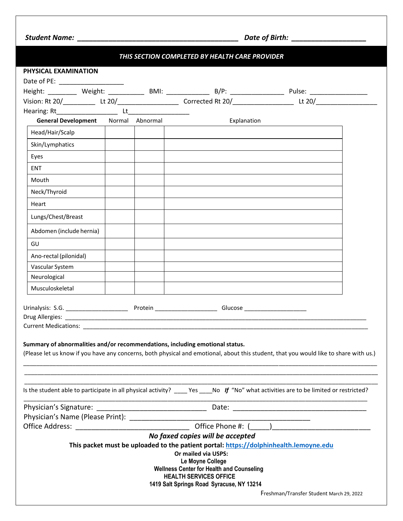# *Student Name: \_\_\_\_\_\_\_\_\_\_\_\_\_\_\_\_\_\_\_\_\_\_\_\_\_\_\_\_\_\_\_\_\_\_\_\_\_\_\_\_\_ Date of Birth: \_\_\_\_\_\_\_\_\_\_\_\_\_\_\_\_\_\_\_*

### *THIS SECTION COMPLETED BY HEALTH CARE PROVIDER*

| <b>PHYSICAL EXAMINATION</b>         |  |                                                                                                                                                                                                                       |                                          |
|-------------------------------------|--|-----------------------------------------------------------------------------------------------------------------------------------------------------------------------------------------------------------------------|------------------------------------------|
| Date of PE: ______________________  |  | Height: __________ Weight: ____________ BMI: ______________ B/P: _________________ Pulse: ___________________                                                                                                         |                                          |
|                                     |  |                                                                                                                                                                                                                       |                                          |
|                                     |  |                                                                                                                                                                                                                       |                                          |
| General Development Normal Abnormal |  | Explanation                                                                                                                                                                                                           |                                          |
| Head/Hair/Scalp                     |  |                                                                                                                                                                                                                       |                                          |
| Skin/Lymphatics                     |  |                                                                                                                                                                                                                       |                                          |
| Eyes                                |  |                                                                                                                                                                                                                       |                                          |
| ENT                                 |  |                                                                                                                                                                                                                       |                                          |
| Mouth                               |  |                                                                                                                                                                                                                       |                                          |
| Neck/Thyroid                        |  |                                                                                                                                                                                                                       |                                          |
| Heart                               |  |                                                                                                                                                                                                                       |                                          |
| Lungs/Chest/Breast                  |  |                                                                                                                                                                                                                       |                                          |
| Abdomen (include hernia)            |  |                                                                                                                                                                                                                       |                                          |
| GU                                  |  |                                                                                                                                                                                                                       |                                          |
| Ano-rectal (pilonidal)              |  |                                                                                                                                                                                                                       |                                          |
| Vascular System                     |  |                                                                                                                                                                                                                       |                                          |
| Neurological                        |  |                                                                                                                                                                                                                       |                                          |
| Musculoskeletal                     |  |                                                                                                                                                                                                                       |                                          |
|                                     |  | Summary of abnormalities and/or recommendations, including emotional status.<br>(Please let us know if you have any concerns, both physical and emotional, about this student, that you would like to share with us.) |                                          |
|                                     |  | Is the student able to participate in all physical activity? ____ Yes ____No If "No" what activities are to be limited or restricted?                                                                                 |                                          |
|                                     |  |                                                                                                                                                                                                                       |                                          |
|                                     |  |                                                                                                                                                                                                                       |                                          |
|                                     |  |                                                                                                                                                                                                                       |                                          |
|                                     |  | No faxed copies will be accepted<br>This packet must be uploaded to the patient portal: https://dolphinhealth.lemoyne.edu                                                                                             |                                          |
|                                     |  | Or mailed via USPS:<br>Le Moyne College<br><b>Wellness Center for Health and Counseling</b><br><b>HEALTH SERVICES OFFICE</b><br>1419 Salt Springs Road Syracuse, NY 13214                                             |                                          |
|                                     |  |                                                                                                                                                                                                                       | Freshman/Transfer Student March 29, 2022 |